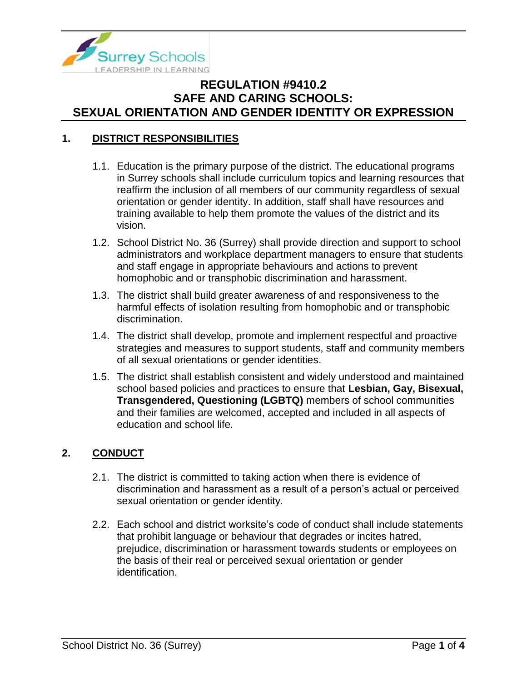

### **1. DISTRICT RESPONSIBILITIES**

- 1.1. Education is the primary purpose of the district. The educational programs in Surrey schools shall include curriculum topics and learning resources that reaffirm the inclusion of all members of our community regardless of sexual orientation or gender identity. In addition, staff shall have resources and training available to help them promote the values of the district and its vision.
- 1.2. School District No. 36 (Surrey) shall provide direction and support to school administrators and workplace department managers to ensure that students and staff engage in appropriate behaviours and actions to prevent homophobic and or transphobic discrimination and harassment.
- 1.3. The district shall build greater awareness of and responsiveness to the harmful effects of isolation resulting from homophobic and or transphobic discrimination.
- 1.4. The district shall develop, promote and implement respectful and proactive strategies and measures to support students, staff and community members of all sexual orientations or gender identities.
- 1.5. The district shall establish consistent and widely understood and maintained school based policies and practices to ensure that **Lesbian, Gay, Bisexual, Transgendered, Questioning (LGBTQ)** members of school communities and their families are welcomed, accepted and included in all aspects of education and school life*.*

#### **2. CONDUCT**

- 2.1. The district is committed to taking action when there is evidence of discrimination and harassment as a result of a person's actual or perceived sexual orientation or gender identity.
- 2.2. Each school and district worksite's code of conduct shall include statements that prohibit language or behaviour that degrades or incites hatred, prejudice, discrimination or harassment towards students or employees on the basis of their real or perceived sexual orientation or gender identification.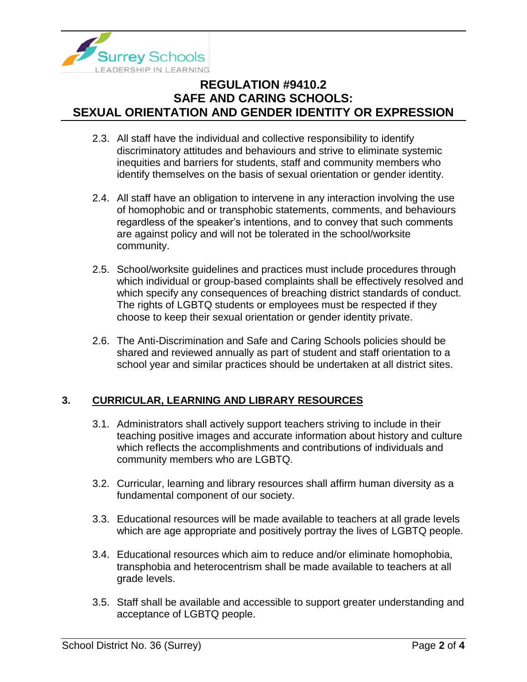

- 2.3. All staff have the individual and collective responsibility to identify discriminatory attitudes and behaviours and strive to eliminate systemic inequities and barriers for students, staff and community members who identify themselves on the basis of sexual orientation or gender identity.
- 2.4. All staff have an obligation to intervene in any interaction involving the use of homophobic and or transphobic statements, comments, and behaviours regardless of the speaker's intentions, and to convey that such comments are against policy and will not be tolerated in the school/worksite community.
- 2.5. School/worksite guidelines and practices must include procedures through which individual or group-based complaints shall be effectively resolved and which specify any consequences of breaching district standards of conduct. The rights of LGBTQ students or employees must be respected if they choose to keep their sexual orientation or gender identity private.
- 2.6. The Anti-Discrimination and Safe and Caring Schools policies should be shared and reviewed annually as part of student and staff orientation to a school year and similar practices should be undertaken at all district sites.

### **3. CURRICULAR, LEARNING AND LIBRARY RESOURCES**

- 3.1. Administrators shall actively support teachers striving to include in their teaching positive images and accurate information about history and culture which reflects the accomplishments and contributions of individuals and community members who are LGBTQ.
- 3.2. Curricular, learning and library resources shall affirm human diversity as a fundamental component of our society.
- 3.3. Educational resources will be made available to teachers at all grade levels which are age appropriate and positively portray the lives of LGBTQ people.
- 3.4. Educational resources which aim to reduce and/or eliminate homophobia, transphobia and heterocentrism shall be made available to teachers at all grade levels.
- 3.5. Staff shall be available and accessible to support greater understanding and acceptance of LGBTQ people.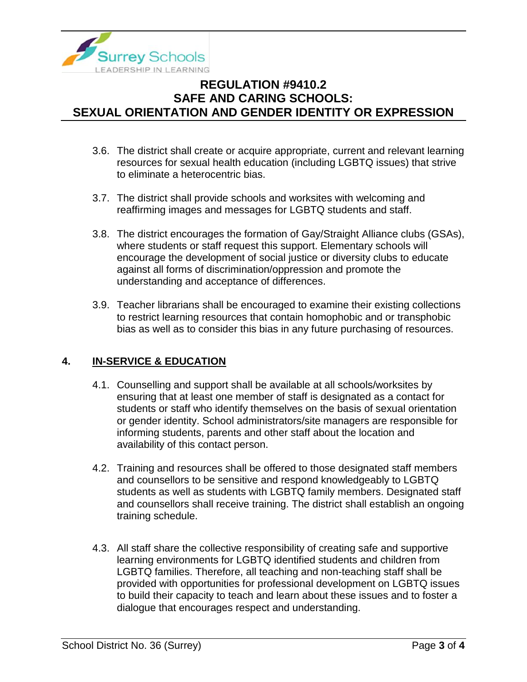

- 3.6. The district shall create or acquire appropriate, current and relevant learning resources for sexual health education (including LGBTQ issues) that strive to eliminate a heterocentric bias.
- 3.7. The district shall provide schools and worksites with welcoming and reaffirming images and messages for LGBTQ students and staff.
- 3.8. The district encourages the formation of Gay/Straight Alliance clubs (GSAs), where students or staff request this support. Elementary schools will encourage the development of social justice or diversity clubs to educate against all forms of discrimination/oppression and promote the understanding and acceptance of differences.
- 3.9. Teacher librarians shall be encouraged to examine their existing collections to restrict learning resources that contain homophobic and or transphobic bias as well as to consider this bias in any future purchasing of resources.

### **4. IN-SERVICE & EDUCATION**

- 4.1. Counselling and support shall be available at all schools/worksites by ensuring that at least one member of staff is designated as a contact for students or staff who identify themselves on the basis of sexual orientation or gender identity. School administrators/site managers are responsible for informing students, parents and other staff about the location and availability of this contact person.
- 4.2. Training and resources shall be offered to those designated staff members and counsellors to be sensitive and respond knowledgeably to LGBTQ students as well as students with LGBTQ family members. Designated staff and counsellors shall receive training. The district shall establish an ongoing training schedule.
- 4.3. All staff share the collective responsibility of creating safe and supportive learning environments for LGBTQ identified students and children from LGBTQ families. Therefore, all teaching and non-teaching staff shall be provided with opportunities for professional development on LGBTQ issues to build their capacity to teach and learn about these issues and to foster a dialogue that encourages respect and understanding.